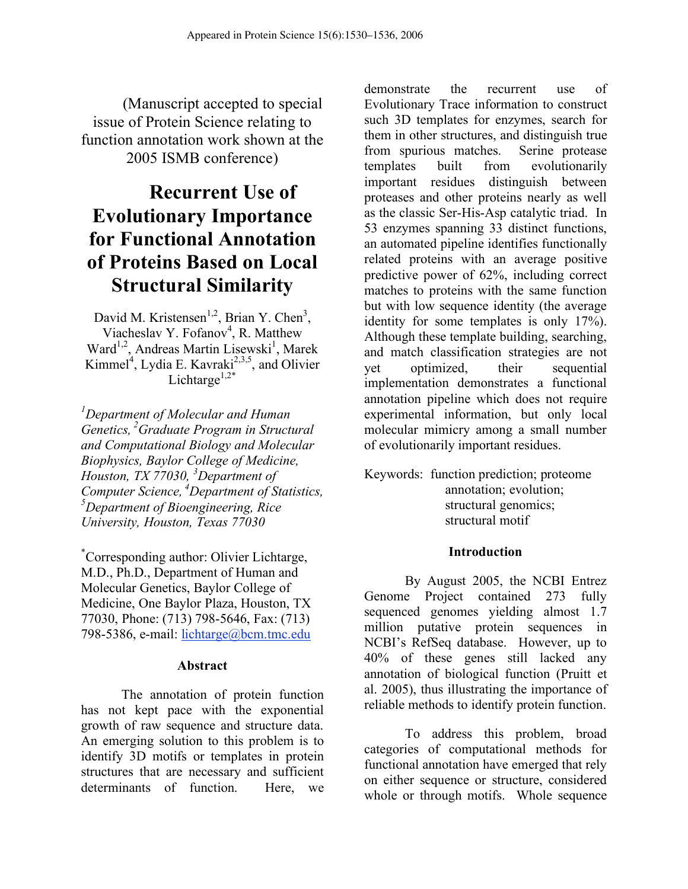(Manuscript accepted to special issue of Protein Science relating to function annotation work shown at the 2005 ISMB conference)

# **Recurrent Use of Evolutionary Importance for Functional Annotation of Proteins Based on Local Structural Similarity**

David M. Kristensen<sup>1,2</sup>, Brian Y. Chen<sup>3</sup>, Viacheslav Y. Fofanov<sup>4</sup>, R. Matthew Ward<sup>1,2</sup>, Andreas Martin Lisewski<sup>1</sup>, Marek Kimmel<sup>4</sup>, Lydia E. Kavraki<sup>2,3,5</sup>, and Olivier Lichtarge<sup>1,2\*</sup>

*1 Department of Molecular and Human Genetics, 2 Graduate Program in Structural and Computational Biology and Molecular Biophysics, Baylor College of Medicine, Houston, TX 77030, <sup>3</sup> Department of Computer Science, 4 Department of Statistics, <sup>5</sup> Department of Bioengineering, Rice University, Houston, Texas 77030*

\* Corresponding author: Olivier Lichtarge, M.D., Ph.D., Department of Human and Molecular Genetics, Baylor College of Medicine, One Baylor Plaza, Houston, TX 77030, Phone: (713) 798-5646, Fax: (713) 798-5386, e-mail: lichtarge@bcm.tmc.edu

#### **Abstract**

The annotation of protein function has not kept pace with the exponential growth of raw sequence and structure data. An emerging solution to this problem is to identify 3D motifs or templates in protein structures that are necessary and sufficient determinants of function. Here, we

demonstrate the recurrent use of Evolutionary Trace information to construct such 3D templates for enzymes, search for them in other structures, and distinguish true from spurious matches. Serine protease templates built from evolutionarily important residues distinguish between proteases and other proteins nearly as well as the classic Ser-His-Asp catalytic triad. In 53 enzymes spanning 33 distinct functions, an automated pipeline identifies functionally related proteins with an average positive predictive power of 62%, including correct matches to proteins with the same function but with low sequence identity (the average identity for some templates is only 17%). Although these template building, searching, and match classification strategies are not yet optimized, their sequential implementation demonstrates a functional annotation pipeline which does not require experimental information, but only local molecular mimicry among a small number of evolutionarily important residues.

Keywords: function prediction; proteome annotation; evolution; structural genomics; structural motif

#### **Introduction**

By August 2005, the NCBI Entrez Genome Project contained 273 fully sequenced genomes yielding almost 1.7 million putative protein sequences in NCBI's RefSeq database. However, up to 40% of these genes still lacked any annotation of biological function (Pruitt et al. 2005), thus illustrating the importance of reliable methods to identify protein function.

To address this problem, broad categories of computational methods for functional annotation have emerged that rely on either sequence or structure, considered whole or through motifs. Whole sequence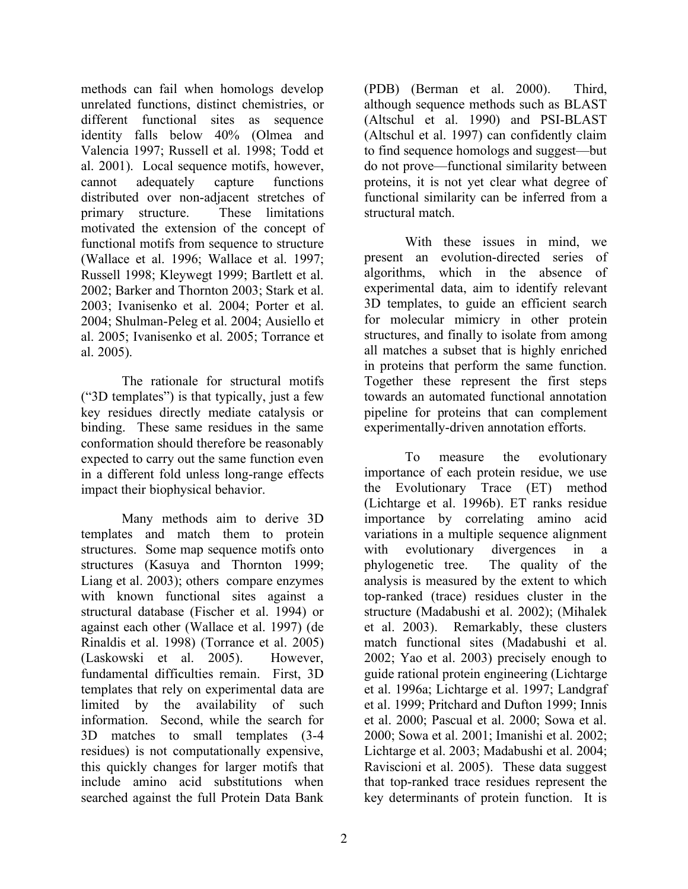methods can fail when homologs develop unrelated functions, distinct chemistries, or different functional sites as sequence identity falls below 40% (Olmea and Valencia 1997; Russell et al. 1998; Todd et al. 2001). Local sequence motifs, however, cannot adequately capture functions distributed over non-adjacent stretches of primary structure. These limitations motivated the extension of the concept of functional motifs from sequence to structure (Wallace et al. 1996; Wallace et al. 1997; Russell 1998; Kleywegt 1999; Bartlett et al. 2002; Barker and Thornton 2003; Stark et al. 2003; Ivanisenko et al. 2004; Porter et al. 2004; Shulman-Peleg et al. 2004; Ausiello et al. 2005; Ivanisenko et al. 2005; Torrance et al. 2005).

The rationale for structural motifs ("3D templates") is that typically, just a few key residues directly mediate catalysis or binding. These same residues in the same conformation should therefore be reasonably expected to carry out the same function even in a different fold unless long-range effects impact their biophysical behavior.

Many methods aim to derive 3D templates and match them to protein structures. Some map sequence motifs onto structures (Kasuya and Thornton 1999; Liang et al. 2003); others compare enzymes with known functional sites against a structural database (Fischer et al. 1994) or against each other (Wallace et al. 1997) (de Rinaldis et al. 1998) (Torrance et al. 2005) (Laskowski et al. 2005). However, fundamental difficulties remain. First, 3D templates that rely on experimental data are limited by the availability of such information. Second, while the search for 3D matches to small templates (3-4 residues) is not computationally expensive, this quickly changes for larger motifs that include amino acid substitutions when searched against the full Protein Data Bank

(PDB) (Berman et al. 2000). Third, although sequence methods such as BLAST (Altschul et al. 1990) and PSI-BLAST (Altschul et al. 1997) can confidently claim to find sequence homologs and suggest—but do not prove—functional similarity between proteins, it is not yet clear what degree of functional similarity can be inferred from a structural match.

With these issues in mind, we present an evolution-directed series of algorithms, which in the absence of experimental data, aim to identify relevant 3D templates, to guide an efficient search for molecular mimicry in other protein structures, and finally to isolate from among all matches a subset that is highly enriched in proteins that perform the same function. Together these represent the first steps towards an automated functional annotation pipeline for proteins that can complement experimentally-driven annotation efforts.

To measure the evolutionary importance of each protein residue, we use the Evolutionary Trace (ET) method (Lichtarge et al. 1996b). ET ranks residue importance by correlating amino acid variations in a multiple sequence alignment with evolutionary divergences in a phylogenetic tree. The quality of the analysis is measured by the extent to which top-ranked (trace) residues cluster in the structure (Madabushi et al. 2002); (Mihalek et al. 2003). Remarkably, these clusters match functional sites (Madabushi et al. 2002; Yao et al. 2003) precisely enough to guide rational protein engineering (Lichtarge et al. 1996a; Lichtarge et al. 1997; Landgraf et al. 1999; Pritchard and Dufton 1999; Innis et al. 2000; Pascual et al. 2000; Sowa et al. 2000; Sowa et al. 2001; Imanishi et al. 2002; Lichtarge et al. 2003; Madabushi et al. 2004; Raviscioni et al. 2005). These data suggest that top-ranked trace residues represent the key determinants of protein function. It is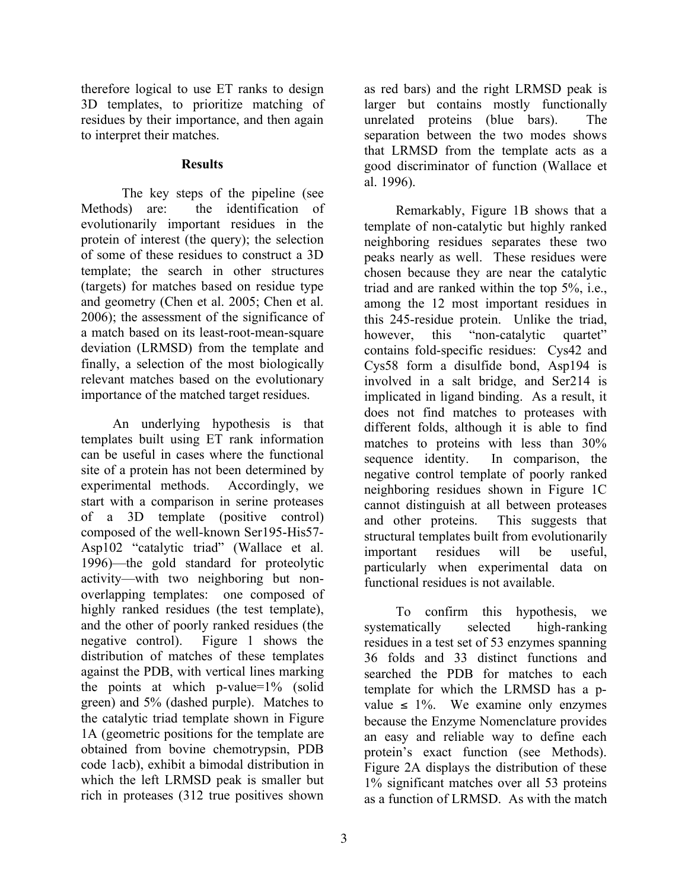therefore logical to use ET ranks to design 3D templates, to prioritize matching of residues by their importance, and then again to interpret their matches.

#### **Results**

The key steps of the pipeline (see Methods) are: the identification of evolutionarily important residues in the protein of interest (the query); the selection of some of these residues to construct a 3D template; the search in other structures (targets) for matches based on residue type and geometry (Chen et al. 2005; Chen et al. 2006); the assessment of the significance of a match based on its least-root-mean-square deviation (LRMSD) from the template and finally, a selection of the most biologically relevant matches based on the evolutionary importance of the matched target residues.

An underlying hypothesis is that templates built using ET rank information can be useful in cases where the functional site of a protein has not been determined by experimental methods. Accordingly, we start with a comparison in serine proteases of a 3D template (positive control) composed of the well-known Ser195-His57- Asp102 "catalytic triad" (Wallace et al. 1996)—the gold standard for proteolytic activity—with two neighboring but nonoverlapping templates: one composed of highly ranked residues (the test template), and the other of poorly ranked residues (the negative control). Figure 1 shows the distribution of matches of these templates against the PDB, with vertical lines marking the points at which p-value=1% (solid green) and 5% (dashed purple). Matches to the catalytic triad template shown in Figure 1A (geometric positions for the template are obtained from bovine chemotrypsin, PDB code 1acb), exhibit a bimodal distribution in which the left LRMSD peak is smaller but rich in proteases (312 true positives shown

as red bars) and the right LRMSD peak is larger but contains mostly functionally unrelated proteins (blue bars). The separation between the two modes shows that LRMSD from the template acts as a good discriminator of function (Wallace et al. 1996).

Remarkably, Figure 1B shows that a template of non-catalytic but highly ranked neighboring residues separates these two peaks nearly as well. These residues were chosen because they are near the catalytic triad and are ranked within the top 5%, i.e., among the 12 most important residues in this 245-residue protein. Unlike the triad, however, this "non-catalytic quartet" contains fold-specific residues: Cys42 and Cys58 form a disulfide bond, Asp194 is involved in a salt bridge, and Ser214 is implicated in ligand binding. As a result, it does not find matches to proteases with different folds, although it is able to find matches to proteins with less than 30% sequence identity. In comparison, the negative control template of poorly ranked neighboring residues shown in Figure 1C cannot distinguish at all between proteases and other proteins. This suggests that structural templates built from evolutionarily important residues will be useful, particularly when experimental data on functional residues is not available.

To confirm this hypothesis, we systematically selected high-ranking residues in a test set of 53 enzymes spanning 36 folds and 33 distinct functions and searched the PDB for matches to each template for which the LRMSD has a pvalue  $\leq 1\%$ . We examine only enzymes because the Enzyme Nomenclature provides an easy and reliable way to define each protein's exact function (see Methods). Figure 2A displays the distribution of these 1% significant matches over all 53 proteins as a function of LRMSD. As with the match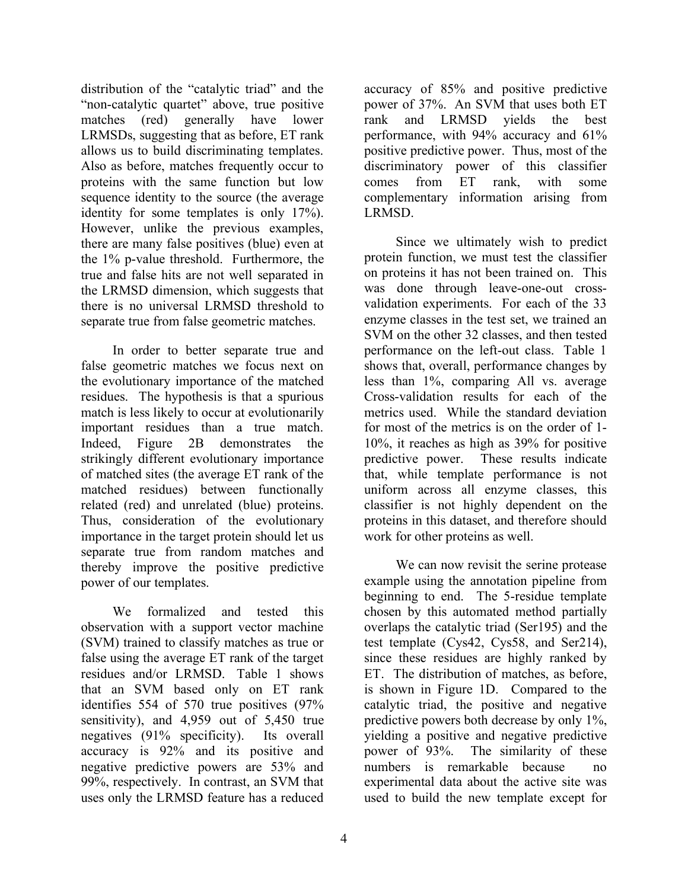distribution of the "catalytic triad" and the "non-catalytic quartet" above, true positive matches (red) generally have lower LRMSDs, suggesting that as before, ET rank allows us to build discriminating templates. Also as before, matches frequently occur to proteins with the same function but low sequence identity to the source (the average identity for some templates is only 17%). However, unlike the previous examples, there are many false positives (blue) even at the 1% p-value threshold. Furthermore, the true and false hits are not well separated in the LRMSD dimension, which suggests that there is no universal LRMSD threshold to separate true from false geometric matches.

In order to better separate true and false geometric matches we focus next on the evolutionary importance of the matched residues. The hypothesis is that a spurious match is less likely to occur at evolutionarily important residues than a true match. Indeed, Figure 2B demonstrates the strikingly different evolutionary importance of matched sites (the average ET rank of the matched residues) between functionally related (red) and unrelated (blue) proteins. Thus, consideration of the evolutionary importance in the target protein should let us separate true from random matches and thereby improve the positive predictive power of our templates.

We formalized and tested this observation with a support vector machine (SVM) trained to classify matches as true or false using the average ET rank of the target residues and/or LRMSD. Table 1 shows that an SVM based only on ET rank identifies 554 of 570 true positives (97% sensitivity), and 4,959 out of 5,450 true negatives (91% specificity). Its overall accuracy is 92% and its positive and negative predictive powers are 53% and 99%, respectively. In contrast, an SVM that uses only the LRMSD feature has a reduced

power of 37%. An SVM that uses both ET rank and LRMSD yields the best performance, with 94% accuracy and 61% positive predictive power. Thus, most of the discriminatory power of this classifier comes from ET rank, with some complementary information arising from LRMSD. Since we ultimately wish to predict

accuracy of 85% and positive predictive

protein function, we must test the classifier on proteins it has not been trained on. This was done through leave-one-out crossvalidation experiments. For each of the 33 enzyme classes in the test set, we trained an SVM on the other 32 classes, and then tested performance on the left-out class. Table 1 shows that, overall, performance changes by less than 1%, comparing All vs. average Cross-validation results for each of the metrics used. While the standard deviation for most of the metrics is on the order of 1- 10%, it reaches as high as 39% for positive predictive power. These results indicate that, while template performance is not uniform across all enzyme classes, this classifier is not highly dependent on the proteins in this dataset, and therefore should work for other proteins as well.

We can now revisit the serine protease example using the annotation pipeline from beginning to end. The 5-residue template chosen by this automated method partially overlaps the catalytic triad (Ser195) and the test template (Cys42, Cys58, and Ser214), since these residues are highly ranked by ET. The distribution of matches, as before, is shown in Figure 1D. Compared to the catalytic triad, the positive and negative predictive powers both decrease by only 1%, yielding a positive and negative predictive power of 93%. The similarity of these numbers is remarkable because no experimental data about the active site was used to build the new template except for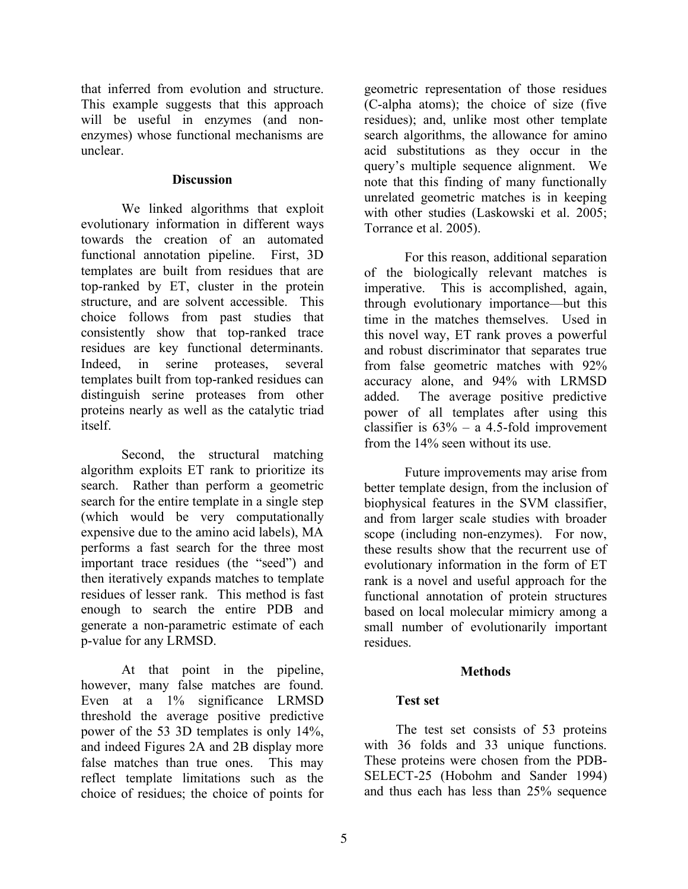that inferred from evolution and structure. This example suggests that this approach will be useful in enzymes (and nonenzymes) whose functional mechanisms are unclear.

#### **Discussion**

We linked algorithms that exploit evolutionary information in different ways towards the creation of an automated functional annotation pipeline. First, 3D templates are built from residues that are top-ranked by ET, cluster in the protein structure, and are solvent accessible. This choice follows from past studies that consistently show that top-ranked trace residues are key functional determinants. Indeed, in serine proteases, several templates built from top-ranked residues can distinguish serine proteases from other proteins nearly as well as the catalytic triad itself.

Second, the structural matching algorithm exploits ET rank to prioritize its search. Rather than perform a geometric search for the entire template in a single step (which would be very computationally expensive due to the amino acid labels), MA performs a fast search for the three most important trace residues (the "seed") and then iteratively expands matches to template residues of lesser rank. This method is fast enough to search the entire PDB and generate a non-parametric estimate of each p-value for any LRMSD.

At that point in the pipeline, however, many false matches are found. Even at a 1% significance LRMSD threshold the average positive predictive power of the 53 3D templates is only 14%, and indeed Figures 2A and 2B display more false matches than true ones. This may reflect template limitations such as the choice of residues; the choice of points for

geometric representation of those residues (C-alpha atoms); the choice of size (five residues); and, unlike most other template search algorithms, the allowance for amino acid substitutions as they occur in the query's multiple sequence alignment. We note that this finding of many functionally unrelated geometric matches is in keeping with other studies (Laskowski et al. 2005; Torrance et al. 2005).

For this reason, additional separation of the biologically relevant matches is imperative. This is accomplished, again, through evolutionary importance—but this time in the matches themselves. Used in this novel way, ET rank proves a powerful and robust discriminator that separates true from false geometric matches with 92% accuracy alone, and 94% with LRMSD added. The average positive predictive power of all templates after using this classifier is  $63\%$  – a 4.5-fold improvement from the 14% seen without its use.

Future improvements may arise from better template design, from the inclusion of biophysical features in the SVM classifier, and from larger scale studies with broader scope (including non-enzymes). For now, these results show that the recurrent use of evolutionary information in the form of ET rank is a novel and useful approach for the functional annotation of protein structures based on local molecular mimicry among a small number of evolutionarily important residues.

# **Methods**

# **Test set**

The test set consists of 53 proteins with 36 folds and 33 unique functions. These proteins were chosen from the PDB-SELECT-25 (Hobohm and Sander 1994) and thus each has less than 25% sequence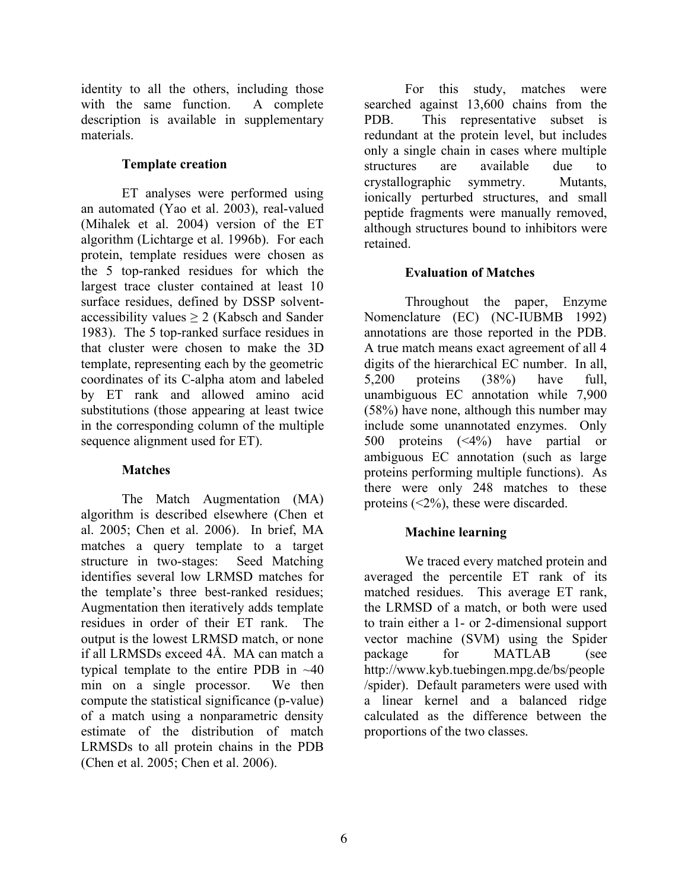identity to all the others, including those with the same function. A complete description is available in supplementary materials.

#### **Template creation**

ET analyses were performed using an automated (Yao et al. 2003), real-valued (Mihalek et al. 2004) version of the ET algorithm (Lichtarge et al. 1996b). For each protein, template residues were chosen as the 5 top-ranked residues for which the largest trace cluster contained at least 10 surface residues, defined by DSSP solventaccessibility values ≥ 2 (Kabsch and Sander 1983). The 5 top-ranked surface residues in that cluster were chosen to make the 3D template, representing each by the geometric coordinates of its C-alpha atom and labeled by ET rank and allowed amino acid substitutions (those appearing at least twice in the corresponding column of the multiple sequence alignment used for ET).

# **Matches**

The Match Augmentation (MA) algorithm is described elsewhere (Chen et al. 2005; Chen et al. 2006). In brief, MA matches a query template to a target structure in two-stages: Seed Matching identifies several low LRMSD matches for the template's three best-ranked residues; Augmentation then iteratively adds template residues in order of their ET rank. The output is the lowest LRMSD match, or none if all LRMSDs exceed 4Å. MA can match a typical template to the entire PDB in ~40 min on a single processor. We then compute the statistical significance (p-value) of a match using a nonparametric density estimate of the distribution of match LRMSDs to all protein chains in the PDB (Chen et al. 2005; Chen et al. 2006).

For this study, matches were searched against 13,600 chains from the PDB. This representative subset is redundant at the protein level, but includes only a single chain in cases where multiple structures are available due to crystallographic symmetry. Mutants, ionically perturbed structures, and small peptide fragments were manually removed, although structures bound to inhibitors were retained.

# **Evaluation of Matches**

Throughout the paper, Enzyme Nomenclature (EC) (NC-IUBMB 1992) annotations are those reported in the PDB. A true match means exact agreement of all 4 digits of the hierarchical EC number. In all, 5,200 proteins (38%) have full, unambiguous EC annotation while 7,900 (58%) have none, although this number may include some unannotated enzymes. Only 500 proteins (<4%) have partial or ambiguous EC annotation (such as large proteins performing multiple functions). As there were only 248 matches to these proteins (<2%), these were discarded.

# **Machine learning**

We traced every matched protein and averaged the percentile ET rank of its matched residues. This average ET rank, the LRMSD of a match, or both were used to train either a 1- or 2-dimensional support vector machine (SVM) using the Spider package for MATLAB (see http://www.kyb.tuebingen.mpg.de/bs/people /spider). Default parameters were used with a linear kernel and a balanced ridge calculated as the difference between the proportions of the two classes.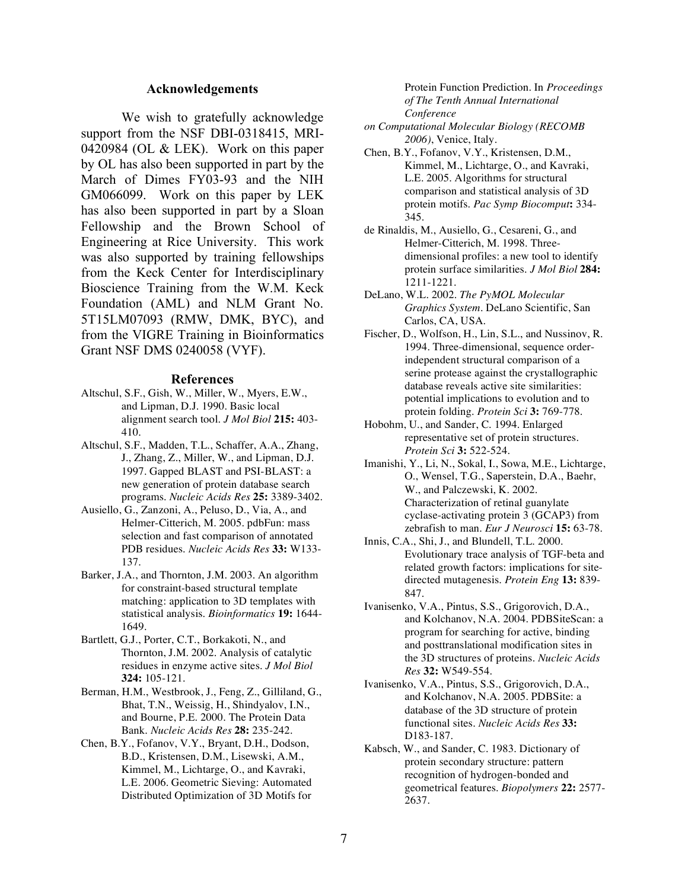#### **Acknowledgements**

We wish to gratefully acknowledge support from the NSF DBI-0318415, MRI-0420984 (OL & LEK). Work on this paper by OL has also been supported in part by the March of Dimes FY03-93 and the NIH GM066099. Work on this paper by LEK has also been supported in part by a Sloan Fellowship and the Brown School of Engineering at Rice University. This work was also supported by training fellowships from the Keck Center for Interdisciplinary Bioscience Training from the W.M. Keck Foundation (AML) and NLM Grant No. 5T15LM07093 (RMW, DMK, BYC), and from the VIGRE Training in Bioinformatics Grant NSF DMS 0240058 (VYF).

#### **References**

- Altschul, S.F., Gish, W., Miller, W., Myers, E.W., and Lipman, D.J. 1990. Basic local alignment search tool. *J Mol Biol* **215:** 403- 410.
- Altschul, S.F., Madden, T.L., Schaffer, A.A., Zhang, J., Zhang, Z., Miller, W., and Lipman, D.J. 1997. Gapped BLAST and PSI-BLAST: a new generation of protein database search programs. *Nucleic Acids Res* **25:** 3389-3402.
- Ausiello, G., Zanzoni, A., Peluso, D., Via, A., and Helmer-Citterich, M. 2005. pdbFun: mass selection and fast comparison of annotated PDB residues. *Nucleic Acids Res* **33:** W133- 137.
- Barker, J.A., and Thornton, J.M. 2003. An algorithm for constraint-based structural template matching: application to 3D templates with statistical analysis. *Bioinformatics* **19:** 1644- 1649.
- Bartlett, G.J., Porter, C.T., Borkakoti, N., and Thornton, J.M. 2002. Analysis of catalytic residues in enzyme active sites. *J Mol Biol* **324:** 105-121.
- Berman, H.M., Westbrook, J., Feng, Z., Gilliland, G., Bhat, T.N., Weissig, H., Shindyalov, I.N., and Bourne, P.E. 2000. The Protein Data Bank. *Nucleic Acids Res* **28:** 235-242.
- Chen, B.Y., Fofanov, V.Y., Bryant, D.H., Dodson, B.D., Kristensen, D.M., Lisewski, A.M., Kimmel, M., Lichtarge, O., and Kavraki, L.E. 2006. Geometric Sieving: Automated Distributed Optimization of 3D Motifs for

Protein Function Prediction. In *Proceedings of The Tenth Annual International Conference*

- *on Computational Molecular Biology (RECOMB 2006)*, Venice, Italy.
- Chen, B.Y., Fofanov, V.Y., Kristensen, D.M., Kimmel, M., Lichtarge, O., and Kavraki, L.E. 2005. Algorithms for structural comparison and statistical analysis of 3D protein motifs. *Pac Symp Biocomput***:** 334- 345.
- de Rinaldis, M., Ausiello, G., Cesareni, G., and Helmer-Citterich, M. 1998. Threedimensional profiles: a new tool to identify protein surface similarities. *J Mol Biol* **284:** 1211-1221.
- DeLano, W.L. 2002. *The PyMOL Molecular Graphics System*. DeLano Scientific, San Carlos, CA, USA.
- Fischer, D., Wolfson, H., Lin, S.L., and Nussinov, R. 1994. Three-dimensional, sequence orderindependent structural comparison of a serine protease against the crystallographic database reveals active site similarities: potential implications to evolution and to protein folding. *Protein Sci* **3:** 769-778.
- Hobohm, U., and Sander, C. 1994. Enlarged representative set of protein structures. *Protein Sci* **3:** 522-524.
- Imanishi, Y., Li, N., Sokal, I., Sowa, M.E., Lichtarge, O., Wensel, T.G., Saperstein, D.A., Baehr, W., and Palczewski, K. 2002. Characterization of retinal guanylate cyclase-activating protein 3 (GCAP3) from zebrafish to man. *Eur J Neurosci* **15:** 63-78.
- Innis, C.A., Shi, J., and Blundell, T.L. 2000. Evolutionary trace analysis of TGF-beta and related growth factors: implications for sitedirected mutagenesis. *Protein Eng* **13:** 839- 847.
- Ivanisenko, V.A., Pintus, S.S., Grigorovich, D.A., and Kolchanov, N.A. 2004. PDBSiteScan: a program for searching for active, binding and posttranslational modification sites in the 3D structures of proteins. *Nucleic Acids Res* **32:** W549-554.
- Ivanisenko, V.A., Pintus, S.S., Grigorovich, D.A., and Kolchanov, N.A. 2005. PDBSite: a database of the 3D structure of protein functional sites. *Nucleic Acids Res* **33:** D183-187.
- Kabsch, W., and Sander, C. 1983. Dictionary of protein secondary structure: pattern recognition of hydrogen-bonded and geometrical features. *Biopolymers* **22:** 2577- 2637.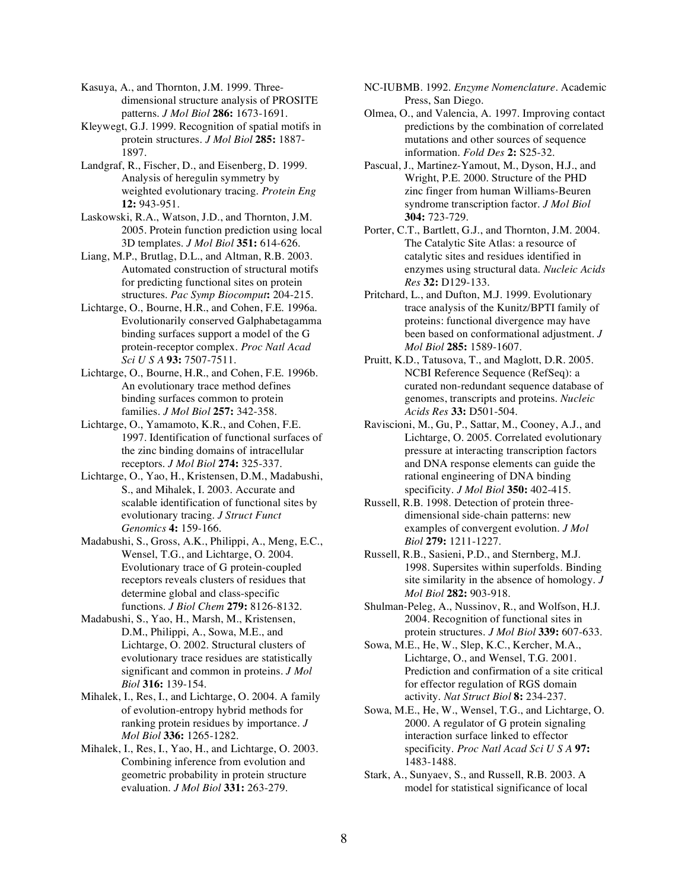Kasuya, A., and Thornton, J.M. 1999. Threedimensional structure analysis of PROSITE patterns. *J Mol Biol* **286:** 1673-1691.

Kleywegt, G.J. 1999. Recognition of spatial motifs in protein structures. *J Mol Biol* **285:** 1887- 1897.

Landgraf, R., Fischer, D., and Eisenberg, D. 1999. Analysis of heregulin symmetry by weighted evolutionary tracing. *Protein Eng* **12:** 943-951.

Laskowski, R.A., Watson, J.D., and Thornton, J.M. 2005. Protein function prediction using local 3D templates. *J Mol Biol* **351:** 614-626.

Liang, M.P., Brutlag, D.L., and Altman, R.B. 2003. Automated construction of structural motifs for predicting functional sites on protein structures. *Pac Symp Biocomput***:** 204-215.

Lichtarge, O., Bourne, H.R., and Cohen, F.E. 1996a. Evolutionarily conserved Galphabetagamma binding surfaces support a model of the G protein-receptor complex. *Proc Natl Acad Sci U S A* **93:** 7507-7511.

Lichtarge, O., Bourne, H.R., and Cohen, F.E. 1996b. An evolutionary trace method defines binding surfaces common to protein families. *J Mol Biol* **257:** 342-358.

Lichtarge, O., Yamamoto, K.R., and Cohen, F.E. 1997. Identification of functional surfaces of the zinc binding domains of intracellular receptors. *J Mol Biol* **274:** 325-337.

Lichtarge, O., Yao, H., Kristensen, D.M., Madabushi, S., and Mihalek, I. 2003. Accurate and scalable identification of functional sites by evolutionary tracing. *J Struct Funct Genomics* **4:** 159-166.

Madabushi, S., Gross, A.K., Philippi, A., Meng, E.C., Wensel, T.G., and Lichtarge, O. 2004. Evolutionary trace of G protein-coupled receptors reveals clusters of residues that determine global and class-specific functions. *J Biol Chem* **279:** 8126-8132.

Madabushi, S., Yao, H., Marsh, M., Kristensen, D.M., Philippi, A., Sowa, M.E., and Lichtarge, O. 2002. Structural clusters of evolutionary trace residues are statistically significant and common in proteins. *J Mol Biol* **316:** 139-154.

Mihalek, I., Res, I., and Lichtarge, O. 2004. A family of evolution-entropy hybrid methods for ranking protein residues by importance. *J Mol Biol* **336:** 1265-1282.

Mihalek, I., Res, I., Yao, H., and Lichtarge, O. 2003. Combining inference from evolution and geometric probability in protein structure evaluation. *J Mol Biol* **331:** 263-279.

NC-IUBMB. 1992. *Enzyme Nomenclature*. Academic Press, San Diego.

Olmea, O., and Valencia, A. 1997. Improving contact predictions by the combination of correlated mutations and other sources of sequence information. *Fold Des* **2:** S25-32.

Pascual, J., Martinez-Yamout, M., Dyson, H.J., and Wright, P.E. 2000. Structure of the PHD zinc finger from human Williams-Beuren syndrome transcription factor. *J Mol Biol* **304:** 723-729.

Porter, C.T., Bartlett, G.J., and Thornton, J.M. 2004. The Catalytic Site Atlas: a resource of catalytic sites and residues identified in enzymes using structural data. *Nucleic Acids Res* **32:** D129-133.

Pritchard, L., and Dufton, M.J. 1999. Evolutionary trace analysis of the Kunitz/BPTI family of proteins: functional divergence may have been based on conformational adjustment. *J Mol Biol* **285:** 1589-1607.

Pruitt, K.D., Tatusova, T., and Maglott, D.R. 2005. NCBI Reference Sequence (RefSeq): a curated non-redundant sequence database of genomes, transcripts and proteins. *Nucleic Acids Res* **33:** D501-504.

Raviscioni, M., Gu, P., Sattar, M., Cooney, A.J., and Lichtarge, O. 2005. Correlated evolutionary pressure at interacting transcription factors and DNA response elements can guide the rational engineering of DNA binding specificity. *J Mol Biol* **350:** 402-415.

Russell, R.B. 1998. Detection of protein threedimensional side-chain patterns: new examples of convergent evolution. *J Mol Biol* **279:** 1211-1227.

Russell, R.B., Sasieni, P.D., and Sternberg, M.J. 1998. Supersites within superfolds. Binding site similarity in the absence of homology. *J Mol Biol* **282:** 903-918.

Shulman-Peleg, A., Nussinov, R., and Wolfson, H.J. 2004. Recognition of functional sites in protein structures. *J Mol Biol* **339:** 607-633.

Sowa, M.E., He, W., Slep, K.C., Kercher, M.A., Lichtarge, O., and Wensel, T.G. 2001. Prediction and confirmation of a site critical for effector regulation of RGS domain activity. *Nat Struct Biol* **8:** 234-237.

Sowa, M.E., He, W., Wensel, T.G., and Lichtarge, O. 2000. A regulator of G protein signaling interaction surface linked to effector specificity. *Proc Natl Acad Sci U S A* **97:** 1483-1488.

Stark, A., Sunyaev, S., and Russell, R.B. 2003. A model for statistical significance of local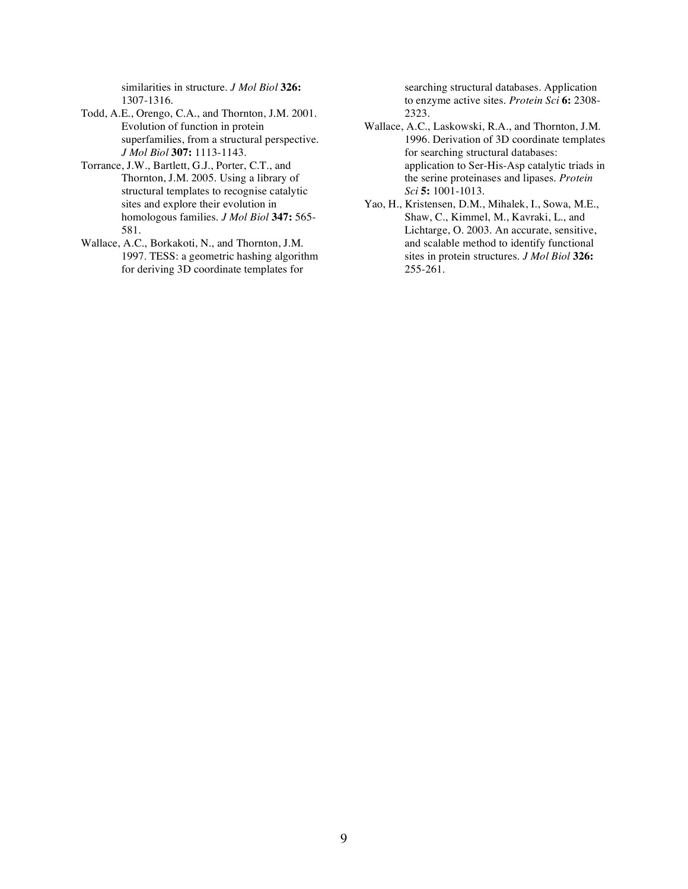similarities in structure. *J Mol Biol* **326:** 1307-1316.

- Todd, A.E., Orengo, C.A., and Thornton, J.M. 2001. Evolution of function in protein superfamilies, from a structural perspective. *J Mol Biol* **307:** 1113-1143.
- Torrance, J.W., Bartlett, G.J., Porter, C.T., and Thornton, J.M. 2005. Using a library of structural templates to recognise catalytic sites and explore their evolution in homologous families. *J Mol Biol* **347:** 565- 581.
- Wallace, A.C., Borkakoti, N., and Thornton, J.M. 1997. TESS: a geometric hashing algorithm for deriving 3D coordinate templates for

searching structural databases. Application to enzyme active sites. *Protein Sci* **6:** 2308- 2323.

- Wallace, A.C., Laskowski, R.A., and Thornton, J.M. 1996. Derivation of 3D coordinate templates for searching structural databases: application to Ser-His-Asp catalytic triads in the serine proteinases and lipases. *Protein Sci* **5:** 1001-1013.
- Yao, H., Kristensen, D.M., Mihalek, I., Sowa, M.E., Shaw, C., Kimmel, M., Kavraki, L., and Lichtarge, O. 2003. An accurate, sensitive, and scalable method to identify functional sites in protein structures. *J Mol Biol* **326:** 255-261.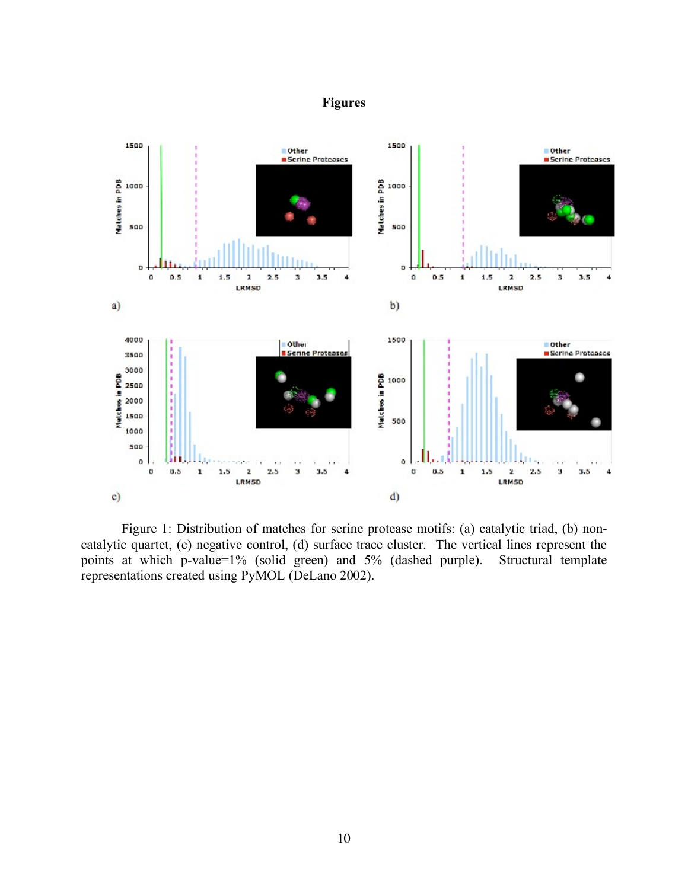# **Figures**



Figure 1: Distribution of matches for serine protease motifs: (a) catalytic triad, (b) noncatalytic quartet, (c) negative control, (d) surface trace cluster. The vertical lines represent the points at which p-value=1% (solid green) and 5% (dashed purple). Structural template representations created using PyMOL (DeLano 2002).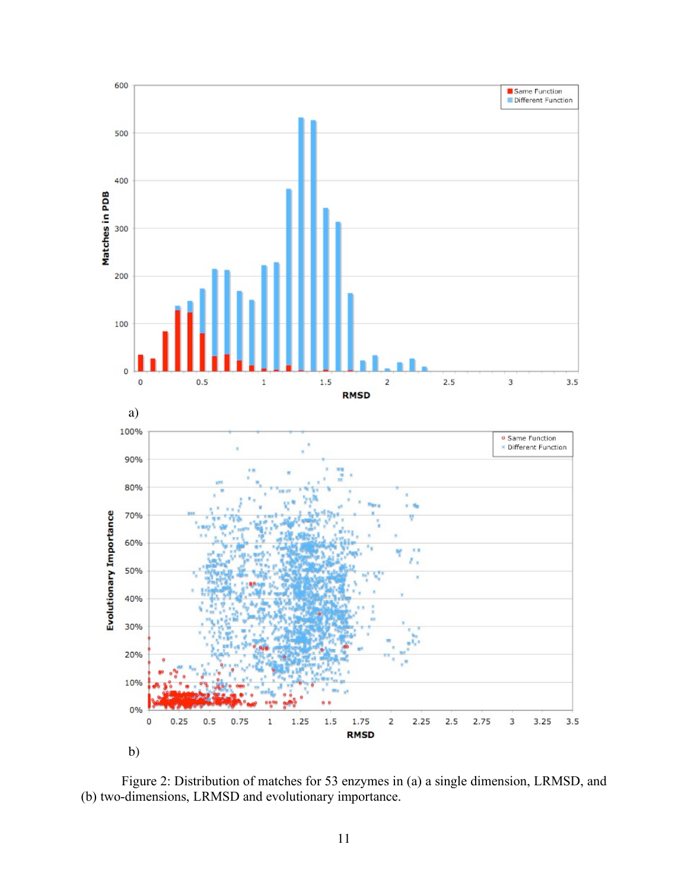

Figure 2: Distribution of matches for 53 enzymes in (a) a single dimension, LRMSD, and (b) two-dimensions, LRMSD and evolutionary importance.